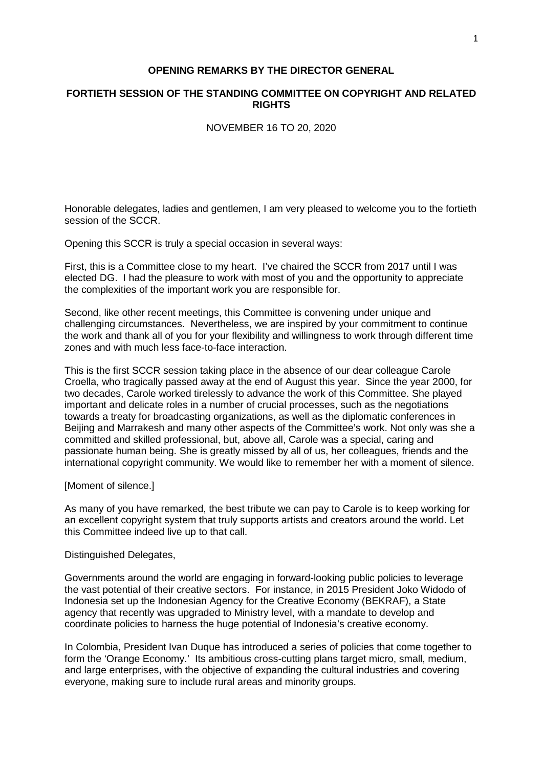## **OPENING REMARKS BY THE DIRECTOR GENERAL**

## **FORTIETH SESSION OF THE STANDING COMMITTEE ON COPYRIGHT AND RELATED RIGHTS**

NOVEMBER 16 TO 20, 2020

Honorable delegates, ladies and gentlemen, I am very pleased to welcome you to the fortieth session of the SCCR.

Opening this SCCR is truly a special occasion in several ways:

First, this is a Committee close to my heart. I've chaired the SCCR from 2017 until I was elected DG. I had the pleasure to work with most of you and the opportunity to appreciate the complexities of the important work you are responsible for.

Second, like other recent meetings, this Committee is convening under unique and challenging circumstances. Nevertheless, we are inspired by your commitment to continue the work and thank all of you for your flexibility and willingness to work through different time zones and with much less face-to-face interaction.

This is the first SCCR session taking place in the absence of our dear colleague Carole Croella, who tragically passed away at the end of August this year. Since the year 2000, for two decades, Carole worked tirelessly to advance the work of this Committee. She played important and delicate roles in a number of crucial processes, such as the negotiations towards a treaty for broadcasting organizations, as well as the diplomatic conferences in Beijing and Marrakesh and many other aspects of the Committee's work. Not only was she a committed and skilled professional, but, above all, Carole was a special, caring and passionate human being. She is greatly missed by all of us, her colleagues, friends and the international copyright community. We would like to remember her with a moment of silence.

[Moment of silence.]

As many of you have remarked, the best tribute we can pay to Carole is to keep working for an excellent copyright system that truly supports artists and creators around the world. Let this Committee indeed live up to that call.

Distinguished Delegates,

Governments around the world are engaging in forward-looking public policies to leverage the vast potential of their creative sectors. For instance, in 2015 President Joko Widodo of Indonesia set up the Indonesian Agency for the Creative Economy (BEKRAF), a State agency that recently was upgraded to Ministry level, with a mandate to develop and coordinate policies to harness the huge potential of Indonesia's creative economy.

In Colombia, President Ivan Duque has introduced a series of policies that come together to form the 'Orange Economy.' Its ambitious cross-cutting plans target micro, small, medium, and large enterprises, with the objective of expanding the cultural industries and covering everyone, making sure to include rural areas and minority groups.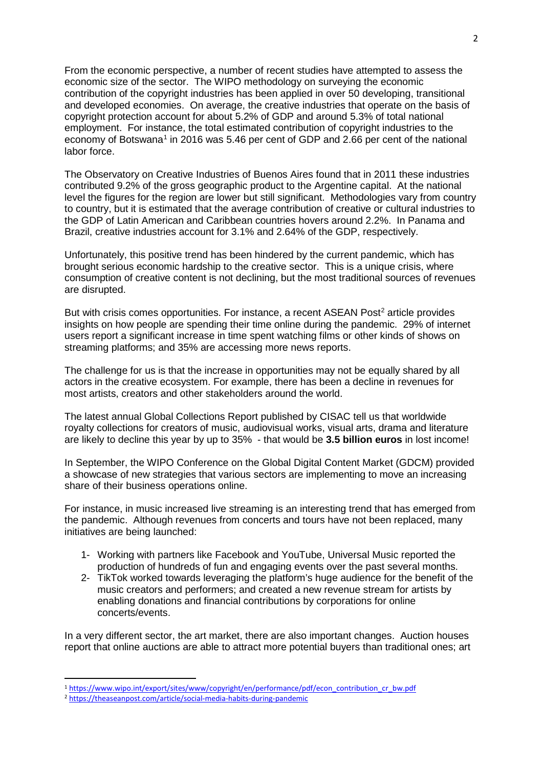From the economic perspective, a number of recent studies have attempted to assess the economic size of the sector. The WIPO methodology on surveying the economic contribution of the copyright industries has been applied in over 50 developing, transitional and developed economies. On average, the creative industries that operate on the basis of copyright protection account for about 5.2% of GDP and around 5.3% of total national employment. For instance, the total estimated contribution of copyright industries to the economy of Botswana<sup>[1](#page-1-0)</sup> in 2016 was 5.46 per cent of GDP and 2.66 per cent of the national labor force.

The Observatory on Creative Industries of Buenos Aires found that in 2011 these industries contributed 9.2% of the gross geographic product to the Argentine capital. At the national level the figures for the region are lower but still significant. Methodologies vary from country to country, but it is estimated that the average contribution of creative or cultural industries to the GDP of Latin American and Caribbean countries hovers around 2.2%. In Panama and Brazil, creative industries account for 3.1% and 2.64% of the GDP, respectively.

Unfortunately, this positive trend has been hindered by the current pandemic, which has brought serious economic hardship to the creative sector. This is a unique crisis, where consumption of creative content is not declining, but the most traditional sources of revenues are disrupted.

But with crisis comes opportunities. For instance, a recent ASEAN Post<sup>[2](#page-1-1)</sup> article provides insights on how people are spending their time online during the pandemic. 29% of internet users report a significant increase in time spent watching films or other kinds of shows on streaming platforms; and 35% are accessing more news reports.

The challenge for us is that the increase in opportunities may not be equally shared by all actors in the creative ecosystem. For example, there has been a decline in revenues for most artists, creators and other stakeholders around the world.

The latest annual Global Collections Report published by CISAC tell us that worldwide royalty collections for creators of music, audiovisual works, visual arts, drama and literature are likely to decline this year by up to 35% - that would be **3.5 billion euros** in lost income!

In September, the WIPO Conference on the Global Digital Content Market (GDCM) provided a showcase of new strategies that various sectors are implementing to move an increasing share of their business operations online.

For instance, in music increased live streaming is an interesting trend that has emerged from the pandemic. Although revenues from concerts and tours have not been replaced, many initiatives are being launched:

- 1- Working with partners like Facebook and YouTube, Universal Music reported the production of hundreds of fun and engaging events over the past several months.
- 2- TikTok worked towards leveraging the platform's huge audience for the benefit of the music creators and performers; and created a new revenue stream for artists by enabling donations and financial contributions by corporations for online concerts/events.

In a very different sector, the art market, there are also important changes. Auction houses report that online auctions are able to attract more potential buyers than traditional ones; art

<span id="page-1-0"></span> <sup>1</sup> [https://www.wipo.int/export/sites/www/copyright/en/performance/pdf/econ\\_contribution\\_cr\\_bw.pdf](https://www.wipo.int/export/sites/www/copyright/en/performance/pdf/econ_contribution_cr_bw.pdf)

<span id="page-1-1"></span><sup>2</sup> <https://theaseanpost.com/article/social-media-habits-during-pandemic>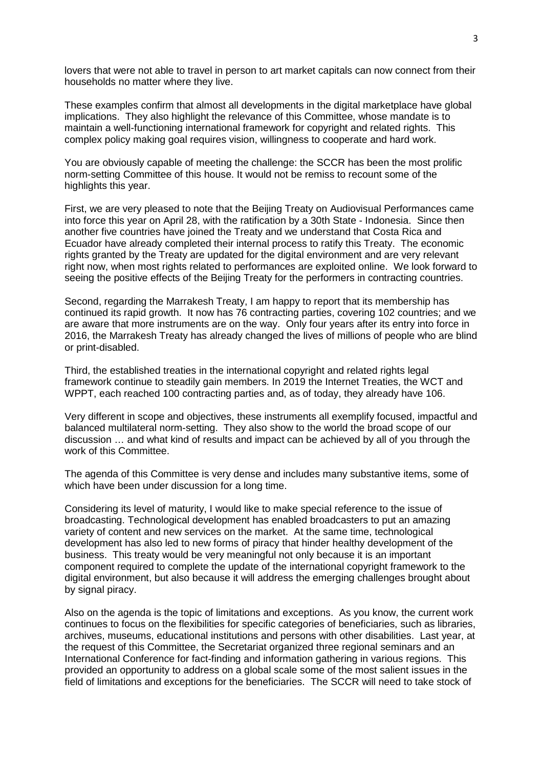lovers that were not able to travel in person to art market capitals can now connect from their households no matter where they live.

These examples confirm that almost all developments in the digital marketplace have global implications. They also highlight the relevance of this Committee, whose mandate is to maintain a well-functioning international framework for copyright and related rights. This complex policy making goal requires vision, willingness to cooperate and hard work.

You are obviously capable of meeting the challenge: the SCCR has been the most prolific norm-setting Committee of this house. It would not be remiss to recount some of the highlights this year.

First, we are very pleased to note that the Beijing Treaty on Audiovisual Performances came into force this year on April 28, with the ratification by a 30th State - Indonesia. Since then another five countries have joined the Treaty and we understand that Costa Rica and Ecuador have already completed their internal process to ratify this Treaty. The economic rights granted by the Treaty are updated for the digital environment and are very relevant right now, when most rights related to performances are exploited online. We look forward to seeing the positive effects of the Beijing Treaty for the performers in contracting countries.

Second, regarding the Marrakesh Treaty, I am happy to report that its membership has continued its rapid growth. It now has 76 contracting parties, covering 102 countries; and we are aware that more instruments are on the way. Only four years after its entry into force in 2016, the Marrakesh Treaty has already changed the lives of millions of people who are blind or print-disabled.

Third, the established treaties in the international copyright and related rights legal framework continue to steadily gain members. In 2019 the Internet Treaties, the WCT and WPPT, each reached 100 contracting parties and, as of today, they already have 106.

Very different in scope and objectives, these instruments all exemplify focused, impactful and balanced multilateral norm-setting. They also show to the world the broad scope of our discussion … and what kind of results and impact can be achieved by all of you through the work of this Committee.

The agenda of this Committee is very dense and includes many substantive items, some of which have been under discussion for a long time.

Considering its level of maturity, I would like to make special reference to the issue of broadcasting. Technological development has enabled broadcasters to put an amazing variety of content and new services on the market. At the same time, technological development has also led to new forms of piracy that hinder healthy development of the business. This treaty would be very meaningful not only because it is an important component required to complete the update of the international copyright framework to the digital environment, but also because it will address the emerging challenges brought about by signal piracy.

Also on the agenda is the topic of limitations and exceptions. As you know, the current work continues to focus on the flexibilities for specific categories of beneficiaries, such as libraries, archives, museums, educational institutions and persons with other disabilities. Last year, at the request of this Committee, the Secretariat organized three regional seminars and an International Conference for fact-finding and information gathering in various regions. This provided an opportunity to address on a global scale some of the most salient issues in the field of limitations and exceptions for the beneficiaries. The SCCR will need to take stock of